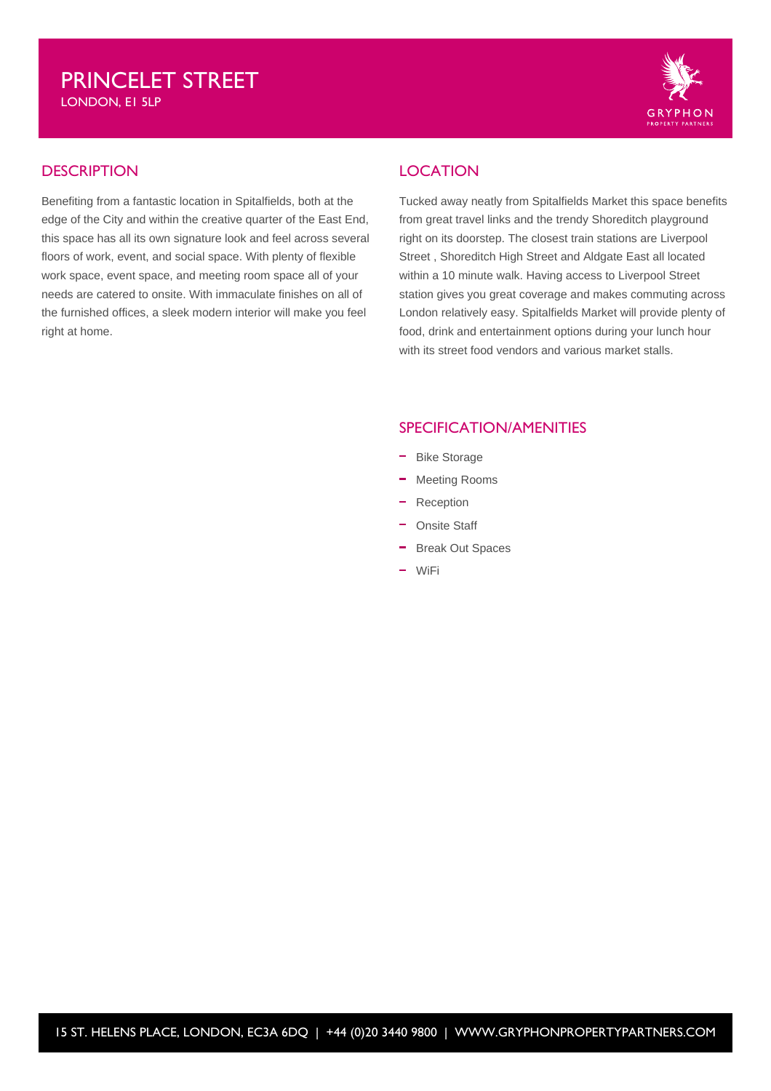LONDON, E1 5LP



## **DESCRIPTION**

Benefiting from a fantastic location in Spitalfields, both at the edge of the City and within the creative quarter of the East End, this space has all its own signature look and feel across several floors of work, event, and social space. With plenty of flexible work space, event space, and meeting room space all of your needs are catered to onsite. With immaculate finishes on all of the furnished offices, a sleek modern interior will make you feel right at home.

# LOCATION

Tucked away neatly from Spitalfields Market this space benefits from great travel links and the trendy Shoreditch playground right on its doorstep. The closest train stations are Liverpool Street , Shoreditch High Street and Aldgate East all located within a 10 minute walk. Having access to Liverpool Street station gives you great coverage and makes commuting across London relatively easy. Spitalfields Market will provide plenty of food, drink and entertainment options during your lunch hour with its street food vendors and various market stalls.

## SPECIFICATION/AMENITIES

- Bike Storage
- Meeting Rooms
- Reception
- Onsite Staff
- Break Out Spaces
- WiFi